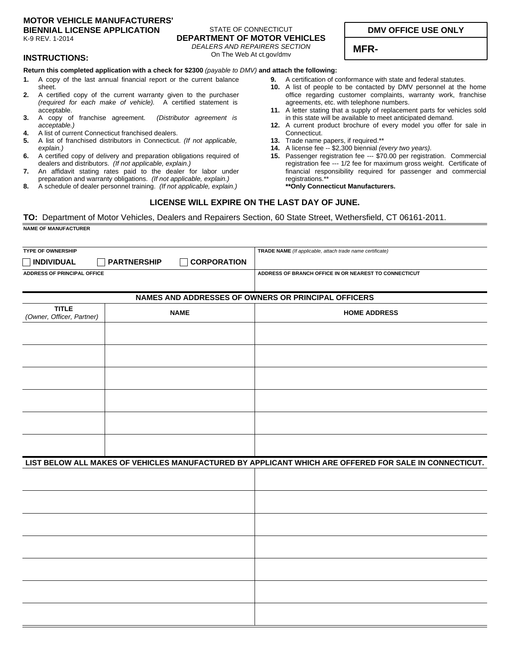#### **MOTOR VEHICLE MANUFACTURERS' BIENNIAL LICENSE APPLICATION**

K-9 REV. 1-2014

## STATE OF CONNECTICUT **DEPARTMENT OF MOTOR VEHICLES**

*DEALERS AND REPAIRERS SECTION* On The Web At ct.gov/dmv

# **DMV OFFICE USE ONLY**

**MFR-**

### **INSTRUCTIONS:**

#### **Return this completed application with a check for \$2300** *(payable to DMV)* **and attach the following:**

- A copy of the last annual financial report or the current balance sheet. **1.**
- A certified copy of the current warranty given to the purchaser *(required for each make of vehicle).* A certified statement is acceptable. **2.**
- A copy of franchise agreement. *(Distributor agreement is acceptable.)* **3.**
- A list of current Connecticut franchised dealers. **4.**
- A list of franchised distributors in Connecticut. *(If not applicable, explain.)* **5.**
- A certified copy of delivery and preparation obligations required of dealers and distributors. *(If not applicable, explain.)* **6.**
- An affidavit stating rates paid to the dealer for labor under preparation and warranty obligations. *(If not applicable, explain.)* **7.**
- A schedule of dealer personnel training. *(If not applicable, explain.)* **8.**
- A certification of conformance with state and federal statutes. **9.**
- 10. A list of people to be contacted by DMV personnel at the home office regarding customer complaints, warranty work, franchise agreements, etc. with telephone numbers.
- 11. A letter stating that a supply of replacement parts for vehicles sold in this state will be available to meet anticipated demand.
- 12. A current product brochure of every model you offer for sale in Connecticut.
- 13. Trade name papers, if required.\*\*
- A license fee -- \$2,300 biennial *(every two years).* **14.**
- 15. Passenger registration fee --- \$70.00 per registration. Commercial registration fee --- 1/2 fee for maximum gross weight. Certificate of financial responsibility required for passenger and commercial registrations.\*\*

#### **\*\*Only Connecticut Manufacturers.**

### **LICENSE WILL EXPIRE ON THE LAST DAY OF JUNE.**

**TO:** Department of Motor Vehicles, Dealers and Repairers Section, 60 State Street, Wethersfield, CT 06161-2011. **NAME OF MANUFACTURER**

| <b>TYPE OF OWNERSHIP</b>                  |                                          | TRADE NAME (If applicable, attach trade name certificate)                                             |  |  |
|-------------------------------------------|------------------------------------------|-------------------------------------------------------------------------------------------------------|--|--|
| <b>INDIVIDUAL</b>                         | <b>PARTNERSHIP</b><br><b>CORPORATION</b> |                                                                                                       |  |  |
| ADDRESS OF PRINCIPAL OFFICE               |                                          | ADDRESS OF BRANCH OFFICE IN OR NEAREST TO CONNECTICUT                                                 |  |  |
|                                           |                                          | NAMES AND ADDRESSES OF OWNERS OR PRINCIPAL OFFICERS                                                   |  |  |
| <b>TITLE</b><br>(Owner, Officer, Partner) | <b>NAME</b>                              | <b>HOME ADDRESS</b>                                                                                   |  |  |
|                                           |                                          |                                                                                                       |  |  |
|                                           |                                          |                                                                                                       |  |  |
|                                           |                                          |                                                                                                       |  |  |
|                                           |                                          |                                                                                                       |  |  |
|                                           |                                          |                                                                                                       |  |  |
|                                           |                                          |                                                                                                       |  |  |
|                                           |                                          | LIST BELOW ALL MAKES OF VEHICLES MANUFACTURED BY APPLICANT WHICH ARE OFFERED FOR SALE IN CONNECTICUT. |  |  |
|                                           |                                          |                                                                                                       |  |  |
|                                           |                                          |                                                                                                       |  |  |
|                                           |                                          |                                                                                                       |  |  |
|                                           |                                          |                                                                                                       |  |  |
|                                           |                                          |                                                                                                       |  |  |
|                                           |                                          |                                                                                                       |  |  |
|                                           |                                          |                                                                                                       |  |  |